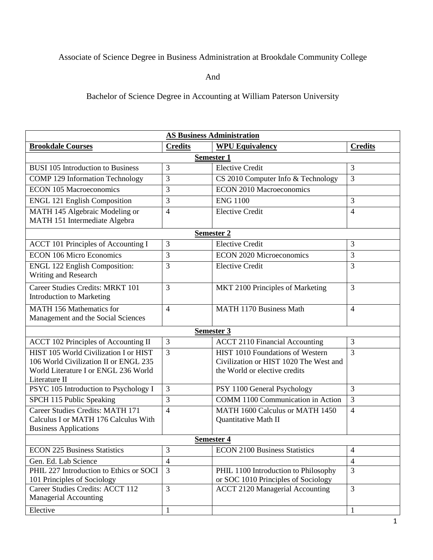## Associate of Science Degree in Business Administration at Brookdale Community College

And

Bachelor of Science Degree in Accounting at William Paterson University

| <b>AS Business Administration</b>                                     |                |                                          |                |  |
|-----------------------------------------------------------------------|----------------|------------------------------------------|----------------|--|
| <b>Brookdale Courses</b>                                              | <b>Credits</b> | <b>WPU Equivalency</b>                   | <b>Credits</b> |  |
| <b>Semester 1</b>                                                     |                |                                          |                |  |
| <b>BUSI 105 Introduction to Business</b>                              | 3              | <b>Elective Credit</b>                   | 3              |  |
| <b>COMP 129 Information Technology</b>                                | 3              | CS 2010 Computer Info & Technology       | 3              |  |
| <b>ECON 105 Macroeconomics</b>                                        | 3              | <b>ECON 2010 Macroeconomics</b>          |                |  |
| <b>ENGL 121 English Composition</b>                                   | 3              | <b>ENG 1100</b>                          | 3              |  |
| MATH 145 Algebraic Modeling or<br>MATH 151 Intermediate Algebra       | $\overline{4}$ | <b>Elective Credit</b>                   | 4              |  |
| <b>Semester 2</b>                                                     |                |                                          |                |  |
| <b>ACCT 101 Principles of Accounting I</b>                            | 3              | <b>Elective Credit</b>                   | 3              |  |
| <b>ECON 106 Micro Economics</b>                                       | 3              | <b>ECON 2020 Microeconomics</b>          | 3              |  |
| <b>ENGL 122 English Composition:</b><br>Writing and Research          | 3              | <b>Elective Credit</b>                   | 3              |  |
| Career Studies Credits: MRKT 101<br>Introduction to Marketing         | 3              | MKT 2100 Principles of Marketing         | 3              |  |
| <b>MATH 156 Mathematics for</b><br>Management and the Social Sciences | $\overline{4}$ | <b>MATH 1170 Business Math</b>           | $\overline{4}$ |  |
| Semester 3                                                            |                |                                          |                |  |
| <b>ACCT 102 Principles of Accounting II</b>                           | 3              | <b>ACCT 2110 Financial Accounting</b>    | 3              |  |
| HIST 105 World Civilization I or HIST                                 | 3              | HIST 1010 Foundations of Western         | 3              |  |
| 106 World Civilization II or ENGL 235                                 |                | Civilization or HIST 1020 The West and   |                |  |
| World Literature I or ENGL 236 World<br>Literature II                 |                | the World or elective credits            |                |  |
| PSYC 105 Introduction to Psychology I                                 | 3              | PSY 1100 General Psychology              | 3              |  |
| SPCH 115 Public Speaking                                              | 3              | <b>COMM</b> 1100 Communication in Action | 3              |  |
| Career Studies Credits: MATH 171                                      | $\overline{4}$ | MATH 1600 Calculus or MATH 1450          | $\overline{4}$ |  |
| Calculus I or MATH 176 Calculus With                                  |                | Quantitative Math II                     |                |  |
| <b>Business Applications</b>                                          |                |                                          |                |  |
| <b>Semester 4</b>                                                     |                |                                          |                |  |
| <b>ECON 225 Business Statistics</b>                                   | 3              | <b>ECON 2100 Business Statistics</b>     | 4              |  |
| Gen. Ed. Lab Science                                                  | $\overline{4}$ |                                          | $\overline{4}$ |  |
| PHIL 227 Introduction to Ethics or SOCI                               | 3              | PHIL 1100 Introduction to Philosophy     | 3              |  |
| 101 Principles of Sociology                                           |                | or SOC 1010 Principles of Sociology      |                |  |
| Career Studies Credits: ACCT 112<br>Managerial Accounting             | 3              | <b>ACCT 2120 Managerial Accounting</b>   | 3              |  |
| Elective                                                              | $\mathbf{1}$   |                                          | 1              |  |